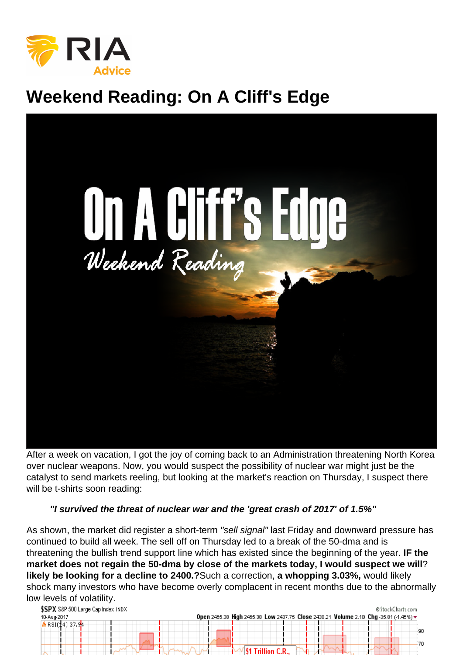## Weekend Reading: On A Cliff's Edge

After a week on vacation, I got the joy of coming back to an Administration threatening North Korea over nuclear weapons. Now, you would suspect the possibility of nuclear war might just be the catalyst to send markets reeling, but looking at the market's reaction on Thursday, I suspect there will be t-shirts soon reading:

"I survived the threat of nuclear war and the 'great crash of 2017' of 1.5%"

As shown, the market did register a short-term "sell signal" last Friday and downward pressure has continued to build all week. The sell off on Thursday led to a break of the 50-dma and is threatening the bullish trend support line which has existed since the beginning of the year. IF the market does not regain the 50-dma by close of the markets today, I would suspect we will ? likely be looking for a decline to 2400.? Such a correction, a whopping 3.03%, would likely shock many investors who have become overly complacent in recent months due to the abnormally low levels of volatility.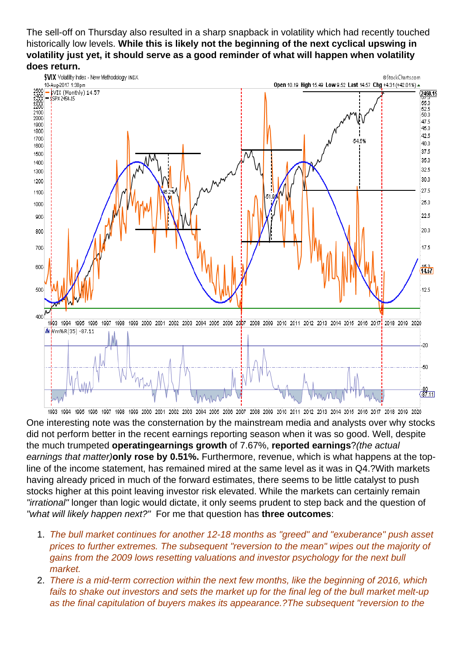The sell-off on Thursday also resulted in a sharp snapback in volatility which had recently touched historically low levels. While this is likely not the beginning of the next cyclical upswing in volatility just yet, it should serve as a good reminder of what will happen when volatility does return.

One interesting note was the consternation by the mainstream media and analysts over why stocks did not perform better in the recent earnings reporting season when it was so good. Well, despite the much trumpeted operating earnings growth of 7.67%, reported earnings ?(the actual earnings that matter)only rose by 0.51%. Furthermore, revenue, which is what happens at the topline of the income statement, has remained mired at the same level as it was in Q4.?With markets having already priced in much of the forward estimates, there seems to be little catalyst to push stocks higher at this point leaving investor risk elevated. While the markets can certainly remain "irrational" longer than logic would dictate, it only seems prudent to step back and the question of "what will likely happen next?" For me that question has three outcomes :

- 1. The bull market continues for another 12-18 months as "greed" and "exuberance" push asset prices to further extremes. The subsequent "reversion to the mean" wipes out the majority of gains from the 2009 lows resetting valuations and investor psychology for the next bull market.
- 2. There is a mid-term correction within the next few months, like the beginning of 2016, which fails to shake out investors and sets the market up for the final leg of the bull market melt-up as the final capitulation of buyers makes its appearance.?The subsequent "reversion to the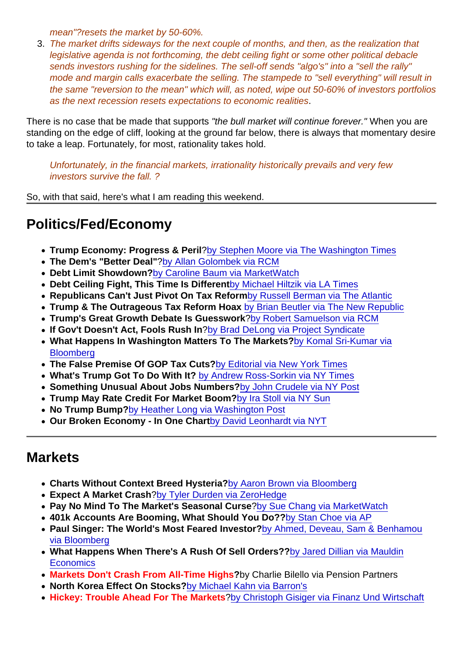mean"?resets the market by 50-60%.

3. The market drifts sideways for the next couple of months, and then, as the realization that legislative agenda is not forthcoming, the debt ceiling fight or some other political debacle sends investors rushing for the sidelines. The sell-off sends "algo's" into a "sell the rally" mode and margin calls exacerbate the selling. The stampede to "sell everything" will result in the same "reversion to the mean" which will, as noted, wipe out 50-60% of investors portfolios as the next recession resets expectations to economic realities.

There is no case that be made that supports "the bull market will continue forever." When you are standing on the edge of cliff, looking at the ground far below, there is always that momentary desire to take a leap. Fortunately, for most, rationality takes hold.

Unfortunately, in the financial markets, irrationality historically prevails and very few investors survive the fall. ?

So, with that said, here's what I am reading this weekend.

## Politics/Fed/Economy

- Trump Economy: Progress & Peril [?by Stephen Moore via The Washington Times](http://www.washingtontimes.com/news/2017/aug/6/donald-trump-economy-shows-progress-but-also-peril/)
- The Dem's "Better Deal" ?[by Allan Golombek via RCM](http://www.realclearmarkets.com/articles/2017/08/07/the_dems_better_deal_a_bigger_faster_version_of_trump_102814.html)
- Debt Limit Showdown? [by Caroline Baum via MarketWatch](http://www.marketwatch.com/story/a-debt-limit-showdown-minus-the-default-theatrics-2017-08-09)
- Debt Ceiling Fight, This Time Is Different [by Michael Hiltzik via LA Times](http://www.latimes.com/business/hiltzik/la-fi-hiltzik-debt-ceiling-20170808-story.html)
- Republicans Can't Just Pivot On Tax Reform [by Russell Berman via The Atlantic](https://www.theatlantic.com/news/archive/2017/08/why-republicans-cant-just-pivot-to-tax-reform/535764/?utm_source=feed)
- Trump & The Outrageous Tax Reform Hoax [by Brian Beutler via The New Republic](https://newrepublic.com/article/144170/trumps-outrageous-tax-hoax)
- Trump's Great Growth Debate Is Guesswork [?by Robert Samuelson via RCM](http://www.realclearmarkets.com/articles/2017/08/07/trumps_great_growth_debate_is_guesswork_102816.html)
- If Gov't Doesn't Act, Fools Rush In [?by Brad DeLong via Project Syndicate](https://www.project-syndicate.org/commentary/anti-globalization-socialism-of-fools-by-j--bradford-delong-2017-08)
- What Happens In Washington Matters To The Markets? [by Komal Sri-Kumar via](https://www.bloomberg.com/view/articles/2017-08-07/what-happens-in-washington-matters-to-markets) **[Bloomberg](https://www.bloomberg.com/view/articles/2017-08-07/what-happens-in-washington-matters-to-markets)**
- The False Premise Of GOP Tax Cuts? [by Editorial via New York Times](https://www.nytimes.com/2017/06/29/opinion/tax-cuts-republican-health-care.html?_r=0)
- What's Trump Got To Do With It? [by Andrew Ross-Sorkin via NY Times](https://www.nytimes.com/2017/08/07/business/dealbook/stocks-bull-market-trump.html?_r=0)
- Something Unusual About Jobs Numbers? [by John Crudele via NY Post](http://www.realclearmarkets.com/2017/08/09/there039s_something_unusual_about_job_growth_numbers_206807.html)
- Trump May Rate Credit For Market Boom? [by Ira Stoll via NY Sun](http://www.nysun.com/national/trump-despite-the-doubters-may-rank-for-credit/90048/)
- No Trump Bump? [by Heather Long via Washington Post](https://www.washingtonpost.com/news/wonk/wp/2017/08/04/americas-economy-is-solid-but-theres-no-trump-bump/)
- Our Broken Economy In One Chart [by David Leonhardt via NYT](https://www.nytimes.com/interactive/2017/08/07/opinion/leonhardt-income-inequality.html)

## **Markets**

- Charts Without Context Breed Hysteria? [by Aaron Brown via Bloomberg](https://www.bloomberg.com/view/articles/2017-08-04/stock-market-charts-without-context-only-feed-hysteria)
- Expect A Market Crash [?by Tyler Durden via ZeroHedge](http://www.zerohedge.com/news/2017-08-09/former-cbo-director-fall-will-be-very-scary-expect-market-crash)
- Pay No Mind To The Market's Seasonal Curse [?by Sue Chang via MarketWatch](http://www.marketwatch.com/story/the-stock-markets-historically-worst-2-months-are-dead-ahead-time-to-worry-2017-08-05)
- 401k Accounts Are Booming, What Should You Do?? [by Stan Choe via AP](https://www.usatoday.com/story/money/personalfinance/retirement/2017/08/06/401-k-accounts-booming-what-should-investors-do/537462001/)
- Paul Singer: The World's Most Feared Investor? [by Ahmed, Deveau, Sam & Benhamou](https://www.bloomberg.com/graphics/2017-elliott-management/) [via Bloomberg](https://www.bloomberg.com/graphics/2017-elliott-management/)
- What Happens When There's A Rush Of Sell Orders?? [by Jared Dillian via Mauldin](http://www.mauldineconomics.com/editorial/if-some-people-do-it-nothing-bad-happens-but-if-everyone-does-it-all-hell-b) **[Economics](http://www.mauldineconomics.com/editorial/if-some-people-do-it-nothing-bad-happens-but-if-everyone-does-it-all-hell-b)**
- Markets Don't Crash From All-Time Highs ?by Charlie Bilello via Pension Partners
- North Korea Effect On Stocks? [by Michael Kahn via Barron's](http://www.barrons.com/articles/the-north-korea-effect-on-stocks-1502309070?mg=prod/accounts-barrons)
- Hickey: Trouble Ahead For The Markets ?[by Christoph Gisiger via Finanz Und Wirtschaft](https://www.fuw.ch/article/the-only-question-is-when-the-bomb-is-going-off/)